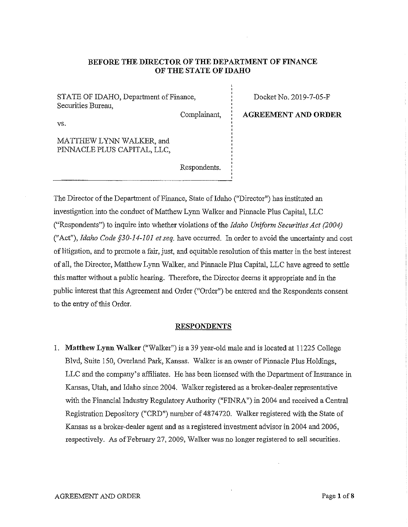## **BEFORE THE DIRECTOR OF THE DEPARTMENT OF FINANCE OF THE STATE OF IDAHO**

STATE OF IDAHO, Department of Finance, Securities Bureau,

Complainant,

Docket No. 2019-7-05-F

**AGREEMENT AND ORDER** 

vs.

MATTHEW LYNN WALKER, and PINNACLE PLUS CAPITAL, LLC,

Respondents.

The Director of the Department of Finance, State of Idaho ("Director") has instituted an investigation into the conduct of Matthew Lynn Walker and Pitmacle Plus Capital, LLC ("Respondents") to inquire into whether violations of the *Idaho Uniform Securities Act (2004)*  ("Act"), *Idaho Code §30-14-101 et seq.* have occurred. In order to avoid the uncertainty and cost of litigation, and to promote a fair, just, and equitable resolution of this matter in the best interest of all, the Director, Matthew Lynn Walker, and Pinnacle Plus Capital, LLC have agreed to settle this matter without a public hearing. Therefore, the Director deems it appropriate and in the public interest that this Agreement and Order ("Order") be entered and the Respondents consent to the entry of this Order.

### **RESPONDENTS**

1. **Matthew Lynn Walker** ("Walker") is a 39 year-old male and is located at 11225 College Blvd, Suite 150, Overland Park, Kansas. Walker is an owner of Pinnacle Plus Holdings, LLC and the company's affiliates. He has been licensed with the Department of Insurance in Kansas, Utah, and Idaho since 2004. Walker registered as a broker-dealer representative with the Financial Industry Regulatory Authority ("FINRA") in 2004 and received a Central Registration Depository ("CRD") number of 4874720. Walker registered with the State of Kansas as a broker-dealer agent and as a registered investment advisor in 2004 and 2006, respectively. As of February 27, 2009, Walker was no longer registered to sell securities.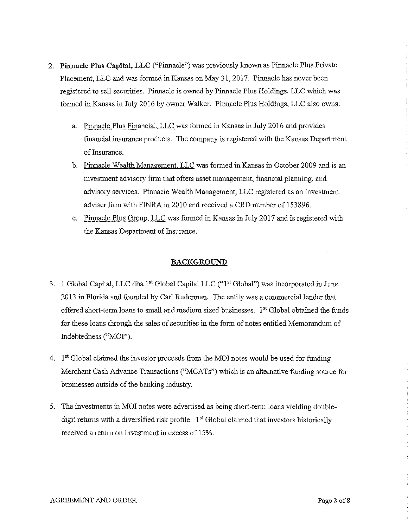- 2. **Pinnacle Plus Capital, LLC** ("Pinnacle") was previously known as Pinnacle Plus Private Placement, LLC and was formed in Kansas on May 31, 2017. Pinnacle has never been registered to sell securities. Pinnacle is owned by Pinnacle Plus Holdings, LLC which was formed in Kausas in July 2016 by owner Walker. Pinnacle Plus Holdings, LLC also owns:
	- a. Pinnacle Plus Financial, LLC was formed in Kansas in July 2016 and provides finaucial insurauce products. The compauy is registered with the Kausas Department of Insurance.
	- b. Pinnacle Wealth Management, LLC was formed in Kansas in October 2009 and is an investment advisory firm that offers asset management, financial planning, and advisory services. Pinnacle Wealth Mauagement, LLC registered as au investment adviser firm with FINRA in 2010 and received a CRD number of 153896.
	- c. Pinnacle Plus Group, LLC was formed in Kansas in July 2017 aud is registered with the Kansas Department of Insurance.

## **BACKGROUND**

- 3. **1** Global Capital, LLC dba 1st Global Capital LLC ("1st Global") was incorporated in June 2013 in Florida and founded by Carl Ruderman. The entity was a commercial lender that offered short-term loans to small and medium sized businesses. 1<sup>st</sup> Global obtained the funds for these loans through the sales of securities in the form of notes entitled Memoraudum of Indebtedness ("MOI").
- 4.  $1<sup>st</sup> Global claimed the investor proceeds from the MOI notes would be used for funding$ Merchant Cash Advance Transactions ("MCATs") which is an alternative funding source for businesses outside of the banking industry.
- 5. The investments in MOI notes were advertised as being short-term loans yielding doubledigit returns with a diversified risk profile.  $1<sup>st</sup>$  Global claimed that investors historically received a return on investment in excess of 15%.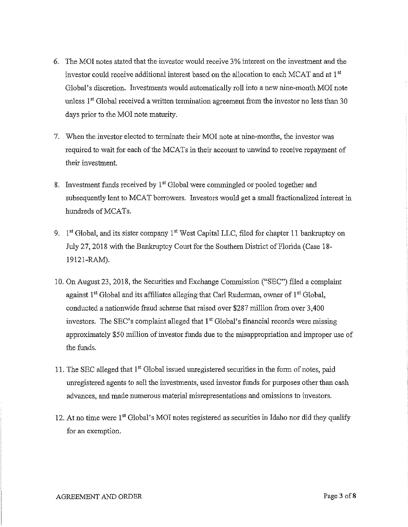- 6. The MOI notes stated that the investor would receive 3% interest on the investment and the investor could receive additional interest based on the allocation to each MCAT and at 1st Global's discretion. Investments would automatically roll into a new nine-month MOI note unless 1<sup>st</sup> Global received a written termination agreement from the investor no less than 30 days prior to the MOI note maturity.
- 7. When the investor elected to terminate their MOI note at nine-months, the investor was required to wait for each of the MCATs in their account to unwind to receive repayment of their investment.
- 8. Investment funds received by 1<sup>st</sup> Global were commingled or pooled together and subsequently lent to MCAT borrowers. Investors would get a small fractionalized interest in hundreds of MCATs.
- 9.  $1<sup>st</sup> Global, and its sister company  $1<sup>st</sup>$  West Capital LLC, filed for chapter 11 bankruptcy on$ July 27, 2018 with the Bankruptcy Court for the Southern District of Florida (Case 18- 19121-RAM).
- 10. On August 23, 2018, the Securities and Exchange Conunission ("SEC") filed a complaint against  $1<sup>st</sup>$  Global and its affiliates alleging that Carl Ruderman, owner of  $1<sup>st</sup>$  Global, conducted a nationwide fraud scheme that raised over \$287 million from over 3,400 investors. The SEC's complaint alleged that  $1<sup>st</sup>$  Global's financial records were missing approximately \$50 million of investor funds due to the misappropriation and improper use of the funds.
- 11. The SEC alleged that 1<sup>st</sup> Global issued unregistered securities in the form of notes, paid unregistered agents to sell the inveshnents, used investor funds for purposes other than cash advances, and made numerous material misrepresentations and omissions to investors.
- 12. At no time were 1<sup>st</sup> Global's MOI notes registered as securities in Idaho nor did they qualify for an exemption.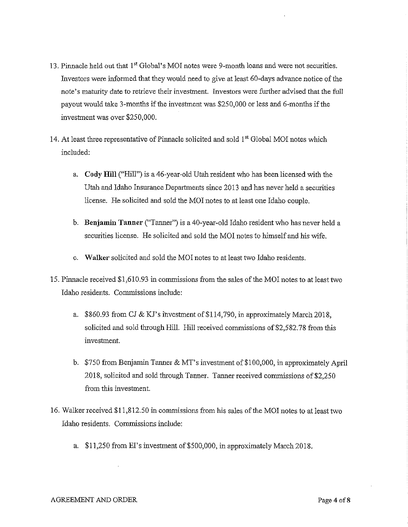- 13. Pinnacle held out that **1"** Global's MOI notes were 9-month loans and were not securities. Investors were informed that they would need to give at least 60-days advance notice of the note's maturity date to retrieve their investment. Investors were further advised that the full payout would take 3-months if the investment was \$250,000 or less and 6-months if the investment was over \$250,000.
- 14. At least three representative of Pinnacle solicited and sold  $1<sup>st</sup>$  Global MOI notes which included:
	- a. **Cody Hill** ("Hill") is a 46-year-old Utah resident who has been licensed with the Utah and Idaho Insurance Departments since 2013 and has never held a securities license. He solicited and sold the MOI notes to at least one Idaho couple.
	- b. **Benjamin Tanner** ("Tanner") is a 40-year-old Idaho resident who has never held a securities license. He solicited and sold the MOI notes to himself and his wife.
	- c. **Walker** solicited and sold the MOI notes to at least two Idaho residents.
- 15. Pinnacle received \$1,610.93 in commissions from the sales of the MOI notes to at least two Idaho residents. Commissions include:
	- a. \$860.93 from CJ & KJ's ihvestment of \$114,790, in approximately March 2018, solicited and sold through Hill. Hill received commissions of \$2,582.78 from this investment.
	- b. \$750 from Benjamin Tanner & MT's investment of\$100,000, in approximately April 2018, solicited and sold through Tanner. Tanner received commissions of \$2,250 from this investment.
- 16. Walker received \$11,812.50 in commissions from his sales of the MOI notes to at least two Idaho residents. Commissions include:
	- a. \$11,250 from EI's investment of \$500,000, in approximately March 2018.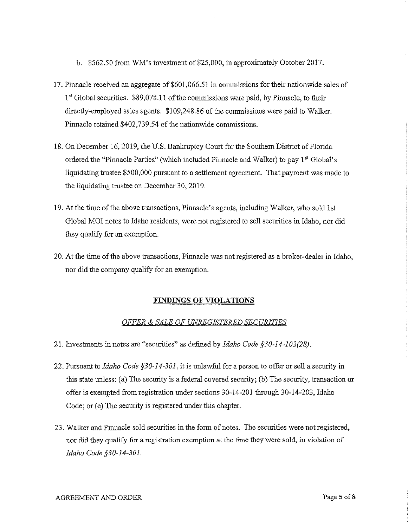- b. \$562.50 from WM's investment of \$25,000, in approximately October 2017.
- 17. Pinnacle received an aggregate of \$601,066.51 in commissions for their nationwide sales of 1" Global securities. \$89,078.11 of the commissions were paid, by Pinnacle, to their directly-employed sales agents. \$109,248.86 of the commissions were paid to Walker. Pinnacle retained \$402,739.54 of the nationwide commissions.
- 18. On December 16, 2019, the U.S. Bankruptcy Court for the Southern District of Florida ordered the "Pinnacle Parties" (which included Pinnacle and Walker) to pay 1st Global's liquidating trustee \$500,000 pursuant to a settlement agreement. That payment was made to the liquidating trustee on December 30, 2019.
- 19. At the time of the above transactions, Pinnacle's agents, including Walker, who sold 1st Global MOI notes to Idaho residents, were not registered to sell securities in Idaho, nor did they qualify for an exemption.
- 20. At the time of the above transactions, Pinnacle was not registered as a broker-dealer in Idaho, nor did the company qualify for an exemption.

### **FINDINGS OF VIOLATIONS**

## *OFFER* & *SALE OF UNREGISTERED SECURITIES*

- 21. Investments in notes are "securities" as defined by *Idaho Code §30-14-102(28).*
- 22. Pursuant to *Idaho Code §30-14-301,* it is unlawful for a person to offer or sell a security in this state unless: (a) The security is a federal covered security; (b) The security, transaction or offer is exempted from registration under sections 30-14-201 through 30-14-203, Idaho Code; or (c) The security is registered under this chapter.
- 23. Walker and Pinnacle sold securities in the form of notes. The securities were not registered, nor did they qualify for a registration exemption at the time they were sold, in violation of *Idaho Code §30-14-301.*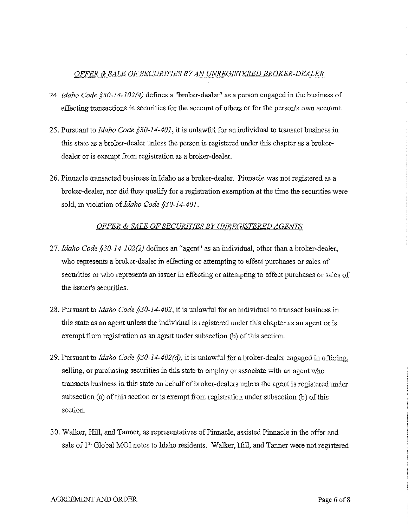# *OFFER* & *SALE OF SECURITIES BY AN UNREGISTERED BROKER-DEALER*

- 24. *Idaho Code §30-14-102(4)* defmes a "broker-dealer" as a person engaged in the business of effecting transactions in securities for the account of others or for the person's own account.
- 25. Pursuant to *Idaho Code §30-14-401,* it is unlawful for an individual to transact business in this state as a broker-dealer unless the person is registered under this chapter as a brokerdealer or is exempt from registration as a broker-dealer.
- 26. Pinnacle transacted business in Idaho as a broker-dealer. Pinnacle was not registered as a broker-dealer, nor did they qualify for a registration exemption at the time the securities were sold, in violation of *Idaho Code §30-14-401.*

# *OFFER* & *SALE OF SECURITIES BY UNREGISTERED AGENTS*

- 27. *Idaho Code §30-14-102(2)* defmes an "agent" as an individual, other than a broker-dealer, who represents a broker-dealer in effecting or attempting to effect purchases or sales of securities or who represents an issuer in effecting or attempting to effect purchases or sales of the issuer's securities.
- 28. Pursuant to *Idaho Code §30-14-402,* it is unlawful for an individual to transact business in this state as an agent unless the individual is registered under this chapter as an agent or is exempt from registration as an agent under subsection (b) of this section.
- 29. Pursuant to *Idaho Code §30-14-402(d)*, it is unlawful for a broker-dealer engaged in offering, selling, or purchasing securities in this state to employ or associate with an agent who transacts business in this state on behalf of broker-dealers unless the agent is registered under subsection (a) of this section or is exempt from registration under subsection (b) of this section.
- 30. Walker, Hill, and Tanner, as representatives of Pinnacle, assisted Pinnacle in the offer and sale of 1<sup>st</sup> Global MOI notes to Idaho residents. Walker, Hill, and Tanner were not registered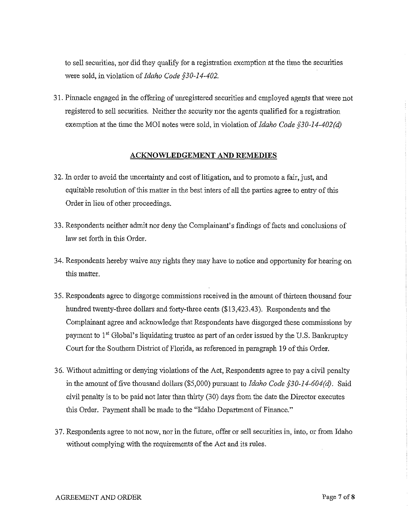to sell securities, nor did they qualify for a registration exemption at the time the securities were sold, in violation of *Idaho Code §30-14-402.* 

31. Pinnacle engaged in the offering of umegistered securities and employed agents that were not registered to sell securities. Neither the security nor the agents qualified for a registration exemption at the time the MOI notes were sold, in violation of *Idaho Code §30-14-402(d)* 

#### **ACKNOWLEDGEMENT AND REMEDIES**

- 32. In order to avoid the uncertainty and cost of litigation, and to promote a fair, just, and equitable resolution of this matter in the best inters of all the parties agree to entry of this Order in lieu of other proceedings.
- 33. Respondents neither admit nor deny the Complainant's findings of facts and conclusions of law set forth in this Order.
- 34. Respondents hereby waive any rights they may have to notice and opportunity for hearing on this matter.
- 35. Respondents agree to disgorge commissions received in the amount of thirteen thousand four hundred twenty-three dollars and forty-three cents (\$13,423.43). Respondents and the Complainant agree and acknowledge that Respondents have disgorged these commissions by payment to 1<sup>st</sup> Global's liquidating trustee as part of an order issued by the U.S. Bankruptcy Court for the Southern District of Florida, as referenced in paragraph 19 of this Order.
- 3 6. Without admitting or denying violations of the Act, Respondents agree to pay a civil penalty in the amount of five thousand dollars (\$5,000) pursuant to *Idaho Code §30-14-604(d).* Said civil penalty is to be paid not later than thirty (30) days from the date the Director executes this Order. Payment shall be made to the "Idaho Department of Finance."
- 3 7. Respondents agree to not now, nor in the future, offer or sell securities in, into, or from Idaho without complying with the requirements of the Act and its rules.